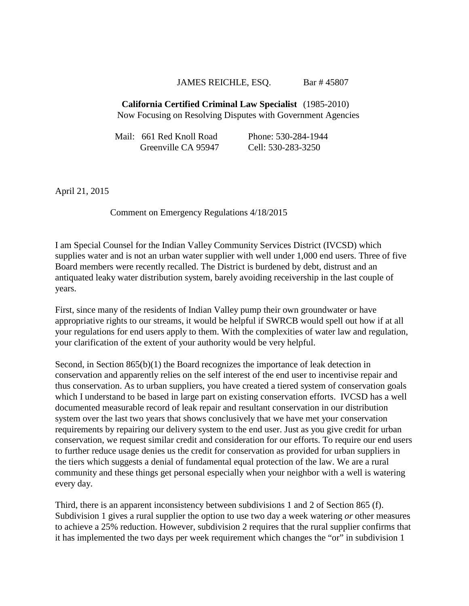## JAMES REICHLE, ESQ. Bar # 45807

## **California Certified Criminal Law Specialist** (1985-2010) Now Focusing on Resolving Disputes with Government Agencies

| Mail: 661 Red Knoll Road | Phone: 530-284-1944 |
|--------------------------|---------------------|
| Greenville CA 95947      | Cell: 530-283-3250  |

April 21, 2015

Comment on Emergency Regulations 4/18/2015

I am Special Counsel for the Indian Valley Community Services District (IVCSD) which supplies water and is not an urban water supplier with well under 1,000 end users. Three of five Board members were recently recalled. The District is burdened by debt, distrust and an antiquated leaky water distribution system, barely avoiding receivership in the last couple of years.

First, since many of the residents of Indian Valley pump their own groundwater or have appropriative rights to our streams, it would be helpful if SWRCB would spell out how if at all your regulations for end users apply to them. With the complexities of water law and regulation, your clarification of the extent of your authority would be very helpful.

Second, in Section 865(b)(1) the Board recognizes the importance of leak detection in conservation and apparently relies on the self interest of the end user to incentivise repair and thus conservation. As to urban suppliers, you have created a tiered system of conservation goals which I understand to be based in large part on existing conservation efforts. IVCSD has a well documented measurable record of leak repair and resultant conservation in our distribution system over the last two years that shows conclusively that we have met your conservation requirements by repairing our delivery system to the end user. Just as you give credit for urban conservation, we request similar credit and consideration for our efforts. To require our end users to further reduce usage denies us the credit for conservation as provided for urban suppliers in the tiers which suggests a denial of fundamental equal protection of the law. We are a rural community and these things get personal especially when your neighbor with a well is watering every day.

Third, there is an apparent inconsistency between subdivisions 1 and 2 of Section 865 (f). Subdivision 1 gives a rural supplier the option to use two day a week watering *or* other measures to achieve a 25% reduction. However, subdivision 2 requires that the rural supplier confirms that it has implemented the two days per week requirement which changes the "or" in subdivision 1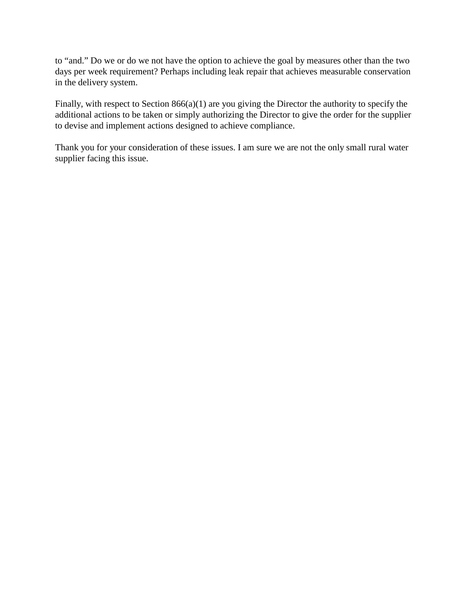to "and." Do we or do we not have the option to achieve the goal by measures other than the two days per week requirement? Perhaps including leak repair that achieves measurable conservation in the delivery system.

Finally, with respect to Section 866(a)(1) are you giving the Director the authority to specify the additional actions to be taken or simply authorizing the Director to give the order for the supplier to devise and implement actions designed to achieve compliance.

Thank you for your consideration of these issues. I am sure we are not the only small rural water supplier facing this issue.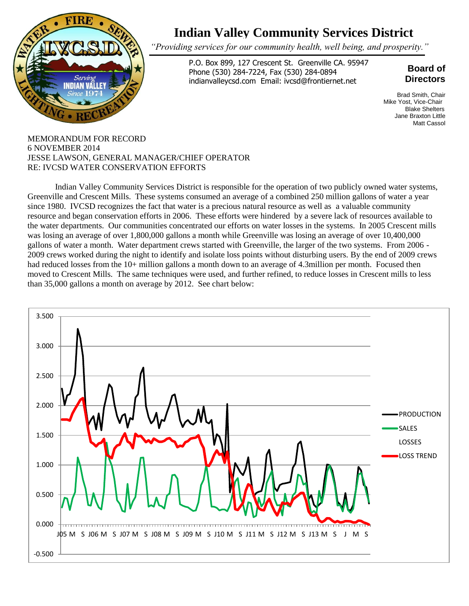

## **Indian Valley Community Services District**

*"Providing services for our community health, well being, and prosperity."*

P.O. Box 899, 127 Crescent St. Greenville CA. 95947 Phone (530) 284-7224, Fax (530) 284-0894 indianvalleycsd.com Email: ivcsd@frontiernet.net

## **Board of Directors**

Brad Smith, Chair Mike Yost, Vice-Chair Blake Shelters Jane Braxton Little Matt Cassol

MEMORANDUM FOR RECORD 6 NOVEMBER 2014 JESSE LAWSON, GENERAL MANAGER/CHIEF OPERATOR RE: IVCSD WATER CONSERVATION EFFORTS

was iosing an average of over 1,000,000 ganons a month with Greenville, the larger of the two systems. From 2006 -<br>gallons of water a month. Water department crews started with Greenville, the larger of the two systems. Fr Indian Valley Community Services District is responsible for the operation of two publicly owned water systems, Greenville and Crescent Mills. These systems consumed an average of a combined 250 million gallons of water a year since 1980. IVCSD recognizes the fact that water is a precious natural resource as well as a valuable community resource and began conservation efforts in 2006. These efforts were hindered by a severe lack of resources available to the water departments. Our communities concentrated our efforts on water losses in the systems. In 2005 Crescent mills was losing an average of over 1,800,000 gallons a month while Greenville was losing an average of over 10,400,000 2009 crews worked during the night to identify and isolate loss points without disturbing users. By the end of 2009 crews had reduced losses from the 10+ million gallons a month down to an average of 4.3million per month. Focused then moved to Crescent Mills. The same techniques were used, and further refined, to reduce losses in Crescent mills to less than 35,000 gallons a month on average by 2012. See chart below: